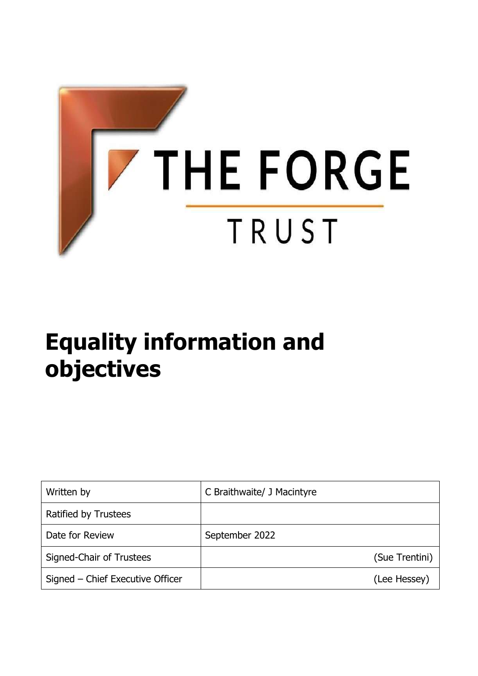

# **Equality information and objectives**

| Written by                       | C Braithwaite/ J Macintyre |
|----------------------------------|----------------------------|
| Ratified by Trustees             |                            |
| Date for Review                  | September 2022             |
| Signed-Chair of Trustees         | (Sue Trentini)             |
| Signed – Chief Executive Officer | (Lee Hessey)               |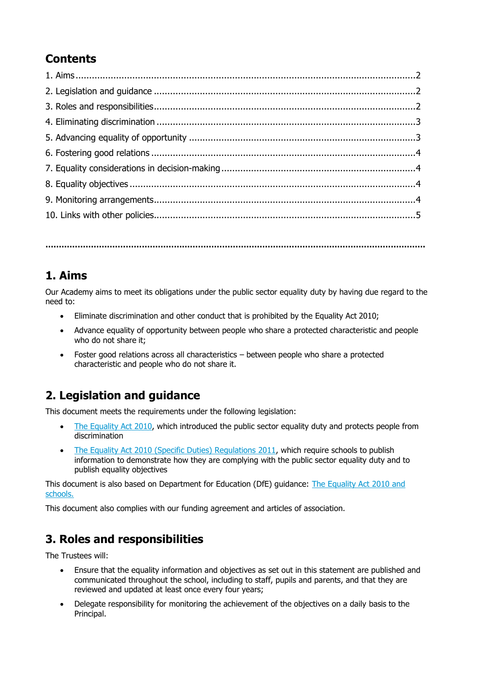# **Contents**

**…………………………………………………………………………………………………………………………….**

#### <span id="page-1-0"></span>**1. Aims**

Our Academy aims to meet its obligations under the public sector equality duty by having due regard to the need to:

- Eliminate discrimination and other conduct that is prohibited by the Equality Act 2010;
- Advance equality of opportunity between people who share a protected characteristic and people who do not share it;
- Foster good relations across all characteristics between people who share a protected characteristic and people who do not share it.

## <span id="page-1-1"></span>**2. Legislation and guidance**

This document meets the requirements under the following legislation:

- [The Equality Act 2010,](http://www.legislation.gov.uk/ukpga/2010/15/contents) which introduced the public sector equality duty and protects people from discrimination
- [The Equality Act 2010 \(Specific Duties\) Regulations 2011,](http://www.legislation.gov.uk/uksi/2011/2260/contents/made) which require schools to publish information to demonstrate how they are complying with the public sector equality duty and to publish equality objectives

This document is also based on Department for Education (DfE) guidance: [The Equality Act 2010](https://www.gov.uk/government/uploads/system/uploads/attachment_data/file/315587/Equality_Act_Advice_Final.pdf) and [schools.](https://www.gov.uk/government/uploads/system/uploads/attachment_data/file/315587/Equality_Act_Advice_Final.pdf)

This document also complies with our funding agreement and articles of association.

## <span id="page-1-2"></span>**3. Roles and responsibilities**

The Trustees will:

- Ensure that the equality information and objectives as set out in this statement are published and communicated throughout the school, including to staff, pupils and parents, and that they are reviewed and updated at least once every four years;
- Delegate responsibility for monitoring the achievement of the objectives on a daily basis to the Principal.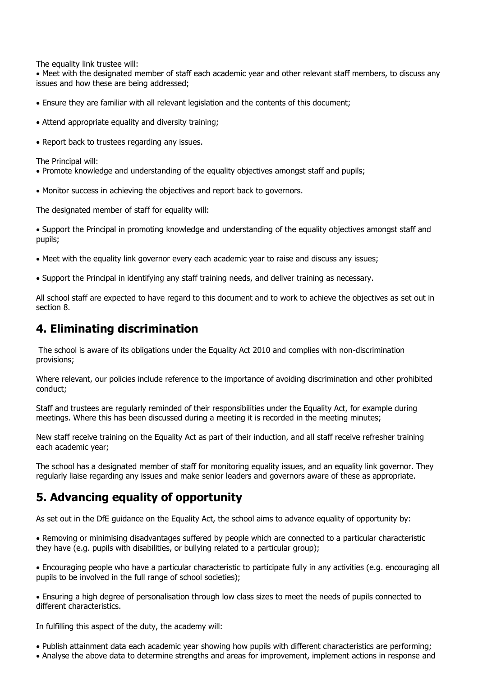The equality link trustee will:

 Meet with the designated member of staff each academic year and other relevant staff members, to discuss any issues and how these are being addressed;

- Ensure they are familiar with all relevant legislation and the contents of this document;
- Attend appropriate equality and diversity training;
- Report back to trustees regarding any issues.

The Principal will:

- Promote knowledge and understanding of the equality objectives amongst staff and pupils;
- Monitor success in achieving the objectives and report back to governors.

The designated member of staff for equality will:

 Support the Principal in promoting knowledge and understanding of the equality objectives amongst staff and pupils;

- Meet with the equality link governor every each academic year to raise and discuss any issues;
- Support the Principal in identifying any staff training needs, and deliver training as necessary.

All school staff are expected to have regard to this document and to work to achieve the objectives as set out in section 8.

#### **4. Eliminating discrimination**

The school is aware of its obligations under the Equality Act 2010 and complies with non-discrimination provisions;

Where relevant, our policies include reference to the importance of avoiding discrimination and other prohibited conduct;

Staff and trustees are regularly reminded of their responsibilities under the Equality Act, for example during meetings. Where this has been discussed during a meeting it is recorded in the meeting minutes;

New staff receive training on the Equality Act as part of their induction, and all staff receive refresher training each academic year;

The school has a designated member of staff for monitoring equality issues, and an equality link governor. They regularly liaise regarding any issues and make senior leaders and governors aware of these as appropriate.

#### **5. Advancing equality of opportunity**

As set out in the DfE guidance on the Equality Act, the school aims to advance equality of opportunity by:

 Removing or minimising disadvantages suffered by people which are connected to a particular characteristic they have (e.g. pupils with disabilities, or bullying related to a particular group);

 Encouraging people who have a particular characteristic to participate fully in any activities (e.g. encouraging all pupils to be involved in the full range of school societies);

 Ensuring a high degree of personalisation through low class sizes to meet the needs of pupils connected to different characteristics.

In fulfilling this aspect of the duty, the academy will:

- Publish attainment data each academic year showing how pupils with different characteristics are performing;
- Analyse the above data to determine strengths and areas for improvement, implement actions in response and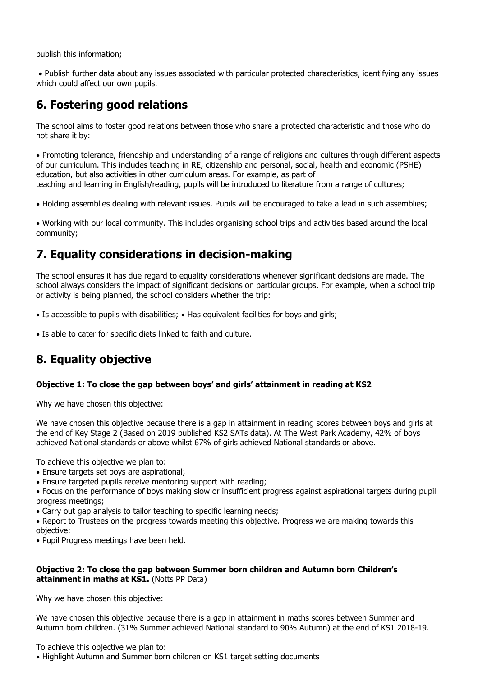publish this information;

 Publish further data about any issues associated with particular protected characteristics, identifying any issues which could affect our own pupils.

### **6. Fostering good relations**

The school aims to foster good relations between those who share a protected characteristic and those who do not share it by:

 Promoting tolerance, friendship and understanding of a range of religions and cultures through different aspects of our curriculum. This includes teaching in RE, citizenship and personal, social, health and economic (PSHE) education, but also activities in other curriculum areas. For example, as part of teaching and learning in English/reading, pupils will be introduced to literature from a range of cultures;

Holding assemblies dealing with relevant issues. Pupils will be encouraged to take a lead in such assemblies;

 Working with our local community. This includes organising school trips and activities based around the local community;

#### **7. Equality considerations in decision-making**

The school ensures it has due regard to equality considerations whenever significant decisions are made. The school always considers the impact of significant decisions on particular groups. For example, when a school trip or activity is being planned, the school considers whether the trip:

• Is accessible to pupils with disabilities; • Has equivalent facilities for boys and girls;

Is able to cater for specific diets linked to faith and culture.

## **8. Equality objective**

#### **Objective 1: To close the gap between boys' and girls' attainment in reading at KS2**

Why we have chosen this objective:

We have chosen this objective because there is a gap in attainment in reading scores between boys and girls at the end of Key Stage 2 (Based on 2019 published KS2 SATs data). At The West Park Academy, 42% of boys achieved National standards or above whilst 67% of girls achieved National standards or above.

To achieve this objective we plan to:

- Ensure targets set boys are aspirational;
- Ensure targeted pupils receive mentoring support with reading;

 Focus on the performance of boys making slow or insufficient progress against aspirational targets during pupil progress meetings;

Carry out gap analysis to tailor teaching to specific learning needs;

• Report to Trustees on the progress towards meeting this objective. Progress we are making towards this objective:

• Pupil Progress meetings have been held.

#### **Objective 2: To close the gap between Summer born children and Autumn born Children's attainment in maths at KS1.** (Notts PP Data)

Why we have chosen this objective:

We have chosen this objective because there is a gap in attainment in maths scores between Summer and Autumn born children. (31% Summer achieved National standard to 90% Autumn) at the end of KS1 2018-19.

To achieve this objective we plan to:

Highlight Autumn and Summer born children on KS1 target setting documents